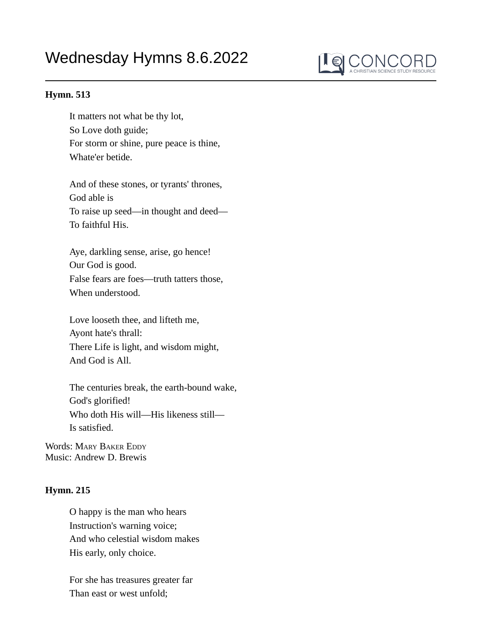## Wednesday Hymns 8.6.2022



## **Hymn. 513**

It matters not what be thy lot, So Love doth guide; For storm or shine, pure peace is thine, Whate'er betide.

And of these stones, or tyrants' thrones, God able is To raise up seed—in thought and deed— To faithful His.

Aye, darkling sense, arise, go hence! Our God is good. False fears are foes—truth tatters those, When understood.

Love looseth thee, and lifteth me, Ayont hate's thrall: There Life is light, and wisdom might, And God is All.

The centuries break, the earth-bound wake, God's glorified! Who doth His will—His likeness still— Is satisfied.

Words: MARY BAKER EDDY Music: Andrew D. Brewis

## **Hymn. 215**

O happy is the man who hears Instruction's warning voice; And who celestial wisdom makes His early, only choice.

For she has treasures greater far Than east or west unfold;